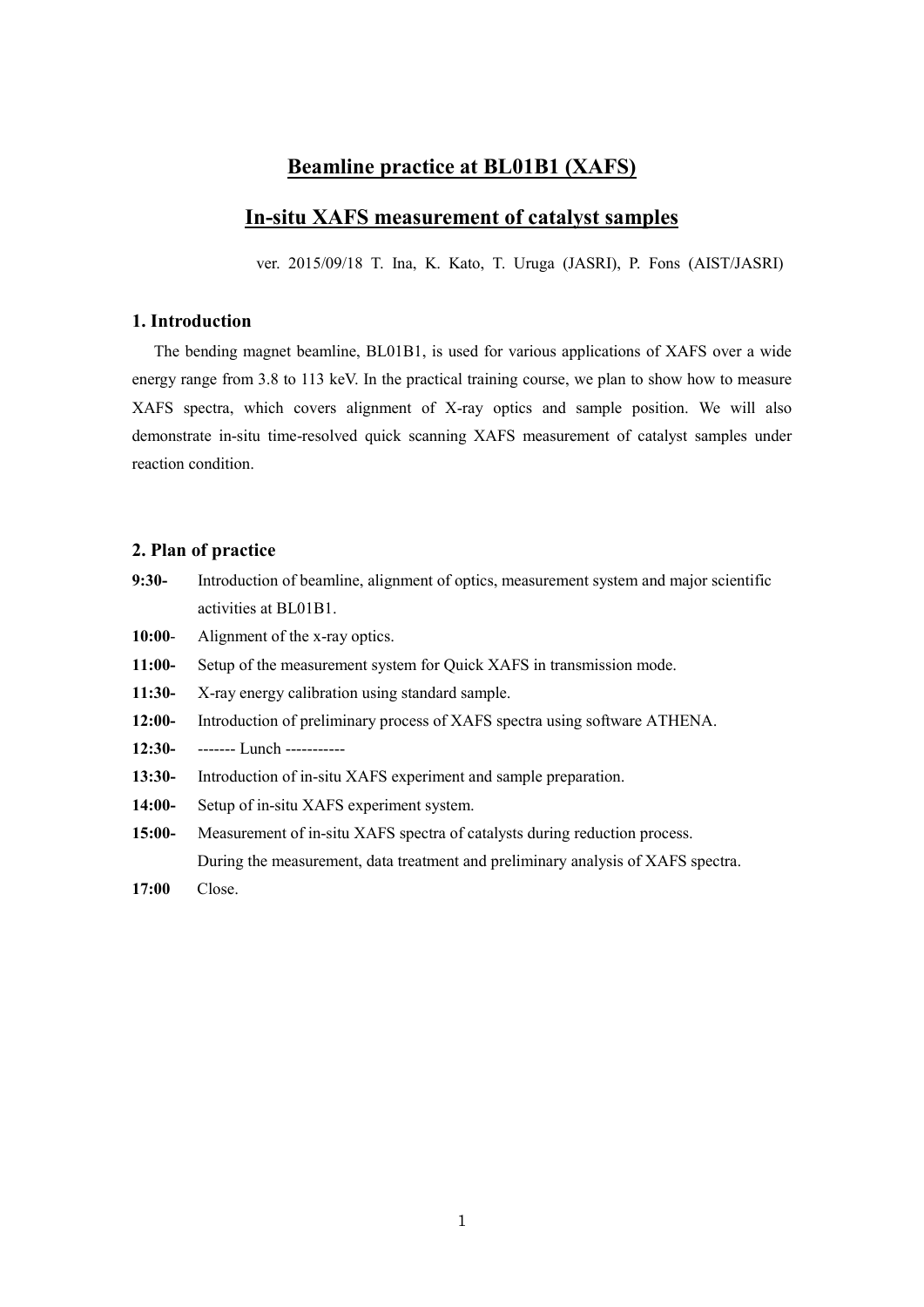# **Beamline practice at BL01B1 (XAFS)**

# **In-situ XAFS measurement of catalyst samples**

ver. 2015/09/18 T. Ina, K. Kato, T. Uruga (JASRI), P. Fons (AIST/JASRI)

### **1. Introduction**

The bending magnet beamline, BL01B1, is used for various applications of XAFS over a wide energy range from 3.8 to 113 keV. In the practical training course, we plan to show how to measure XAFS spectra, which covers alignment of X-ray optics and sample position. We will also demonstrate in-situ time-resolved quick scanning XAFS measurement of catalyst samples under reaction condition.

### **2. Plan of practice**

- **9:30-** Introduction of beamline, alignment of optics, measurement system and major scientific activities at BL01B1.
- **10:00** Alignment of the x-ray optics.
- **11:00-** Setup of the measurement system for Quick XAFS in transmission mode.
- **11:30-** X-ray energy calibration using standard sample.
- **12:00-** Introduction of preliminary process of XAFS spectra using software ATHENA.
- **12:30-** ------- Lunch -----------
- **13:30-** Introduction of in-situ XAFS experiment and sample preparation.
- **14:00-** Setup of in-situ XAFS experiment system.
- **15:00-** Measurement of in-situ XAFS spectra of catalysts during reduction process. During the measurement, data treatment and preliminary analysis of XAFS spectra.
- **17:00** Close.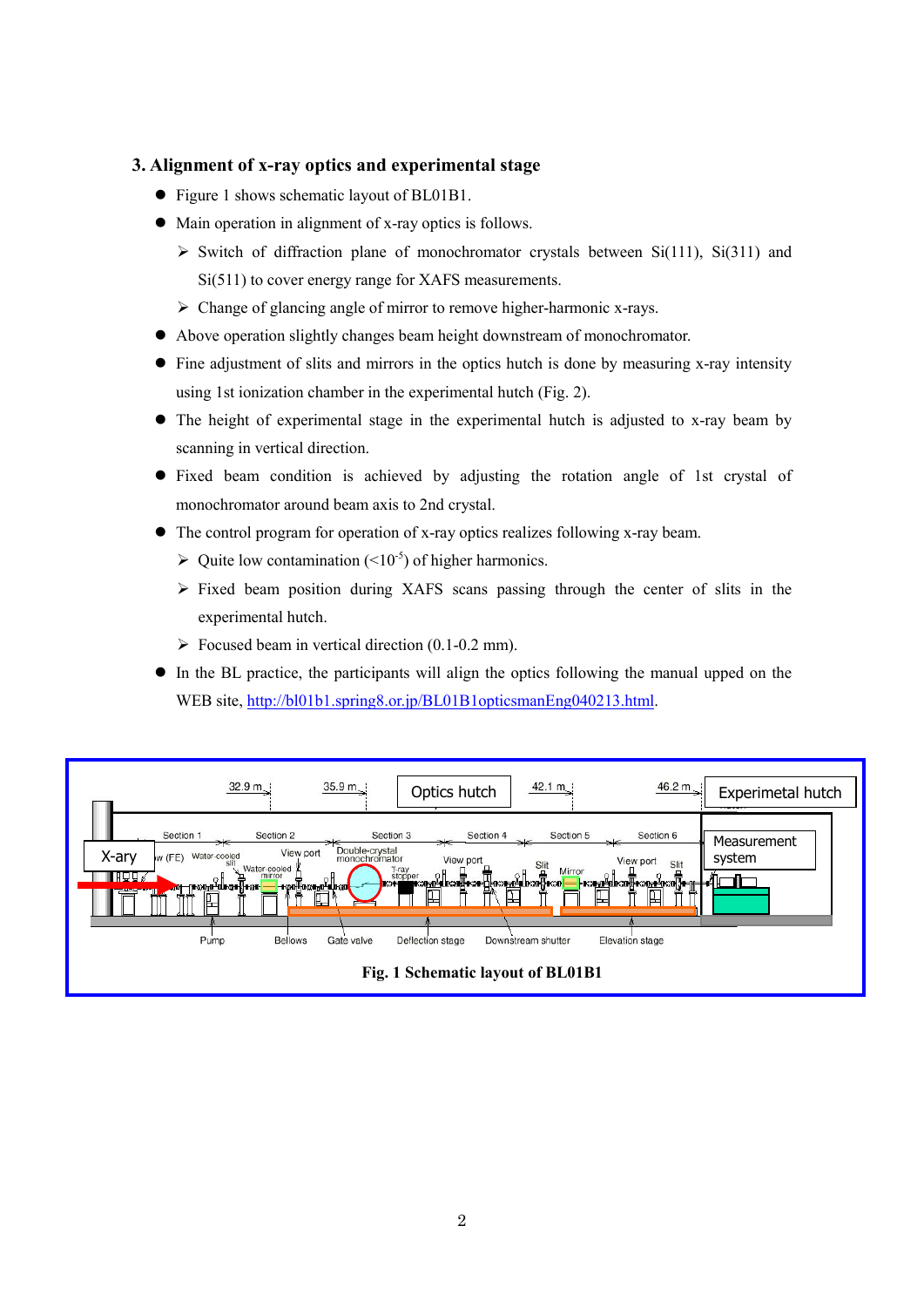### **3. Alignment of x-ray optics and experimental stage**

- Figure 1 shows schematic layout of BL01B1.
- $\bullet$  Main operation in alignment of x-ray optics is follows.
	- $\triangleright$  Switch of diffraction plane of monochromator crystals between Si(111), Si(311) and Si(511) to cover energy range for XAFS measurements.
	- $\triangleright$  Change of glancing angle of mirror to remove higher-harmonic x-rays.
- Above operation slightly changes beam height downstream of monochromator.
- Fine adjustment of slits and mirrors in the optics hutch is done by measuring x-ray intensity using 1st ionization chamber in the experimental hutch (Fig. 2).
- The height of experimental stage in the experimental hutch is adjusted to x-ray beam by scanning in vertical direction.
- Fixed beam condition is achieved by adjusting the rotation angle of 1st crystal of monochromator around beam axis to 2nd crystal.
- The control program for operation of x-ray optics realizes following x-ray beam.
	- $\triangleright$  Quite low contamination (<10<sup>-5</sup>) of higher harmonics.
	- $\triangleright$  Fixed beam position during XAFS scans passing through the center of slits in the experimental hutch.
	- $\triangleright$  Focused beam in vertical direction (0.1-0.2 mm).
- In the BL practice, the participants will align the optics following the manual upped on the WEB site, [http://bl01b1.spring8.or.jp/BL01B1opticsmanEng040213.html.](http://bl01b1.spring8.or.jp/BL01B1opticsmanEng040213.html)

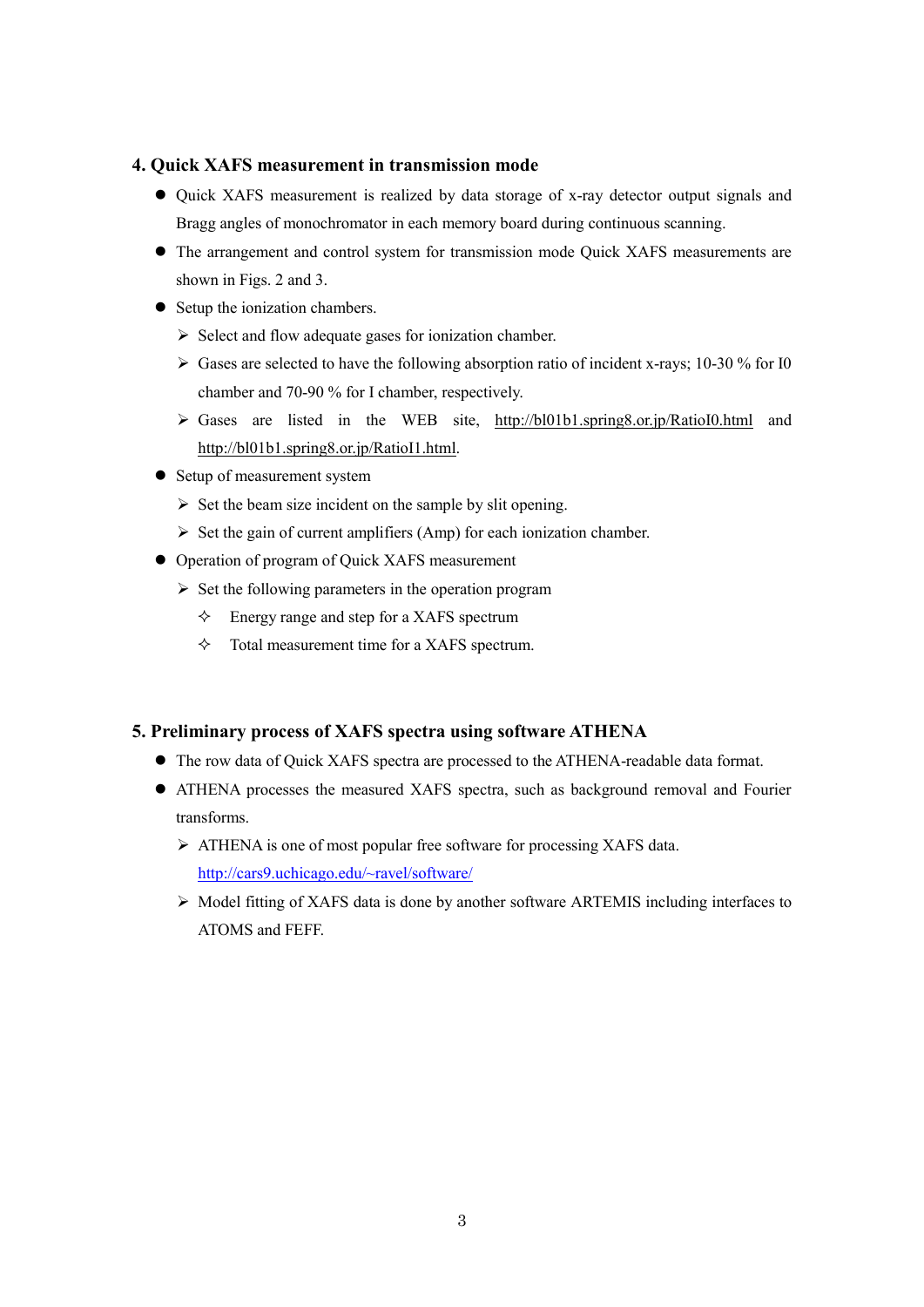### **4. Quick XAFS measurement in transmission mode**

- Quick XAFS measurement is realized by data storage of x-ray detector output signals and Bragg angles of monochromator in each memory board during continuous scanning.
- The arrangement and control system for transmission mode Quick XAFS measurements are shown in Figs. 2 and 3.
- Setup the ionization chambers.
	- $\triangleright$  Select and flow adequate gases for ionization chamber.
	- $\triangleright$  Gases are selected to have the following absorption ratio of incident x-rays; 10-30 % for I0 chamber and 70-90 % for I chamber, respectively.
	- Gases are listed in the WEB site, http://bl01b1.spring8.or.jp/RatioI0.html and http://bl01b1.spring8.or.jp/RatioI1.html.
- Setup of measurement system
	- $\triangleright$  Set the beam size incident on the sample by slit opening.
	- $\triangleright$  Set the gain of current amplifiers (Amp) for each ionization chamber.
- Operation of program of Quick XAFS measurement
	- $\triangleright$  Set the following parameters in the operation program
		- $\Diamond$  Energy range and step for a XAFS spectrum
		- $\Diamond$  Total measurement time for a XAFS spectrum.

## **5. Preliminary process of XAFS spectra using software ATHENA**

- The row data of Quick XAFS spectra are processed to the ATHENA-readable data format.
- ATHENA processes the measured XAFS spectra, such as background removal and Fourier transforms.
	- ATHENA is one of most popular free software for processing XAFS data. <http://cars9.uchicago.edu/~ravel/software/>
	- $\triangleright$  Model fitting of XAFS data is done by another software ARTEMIS including interfaces to ATOMS and FEFF.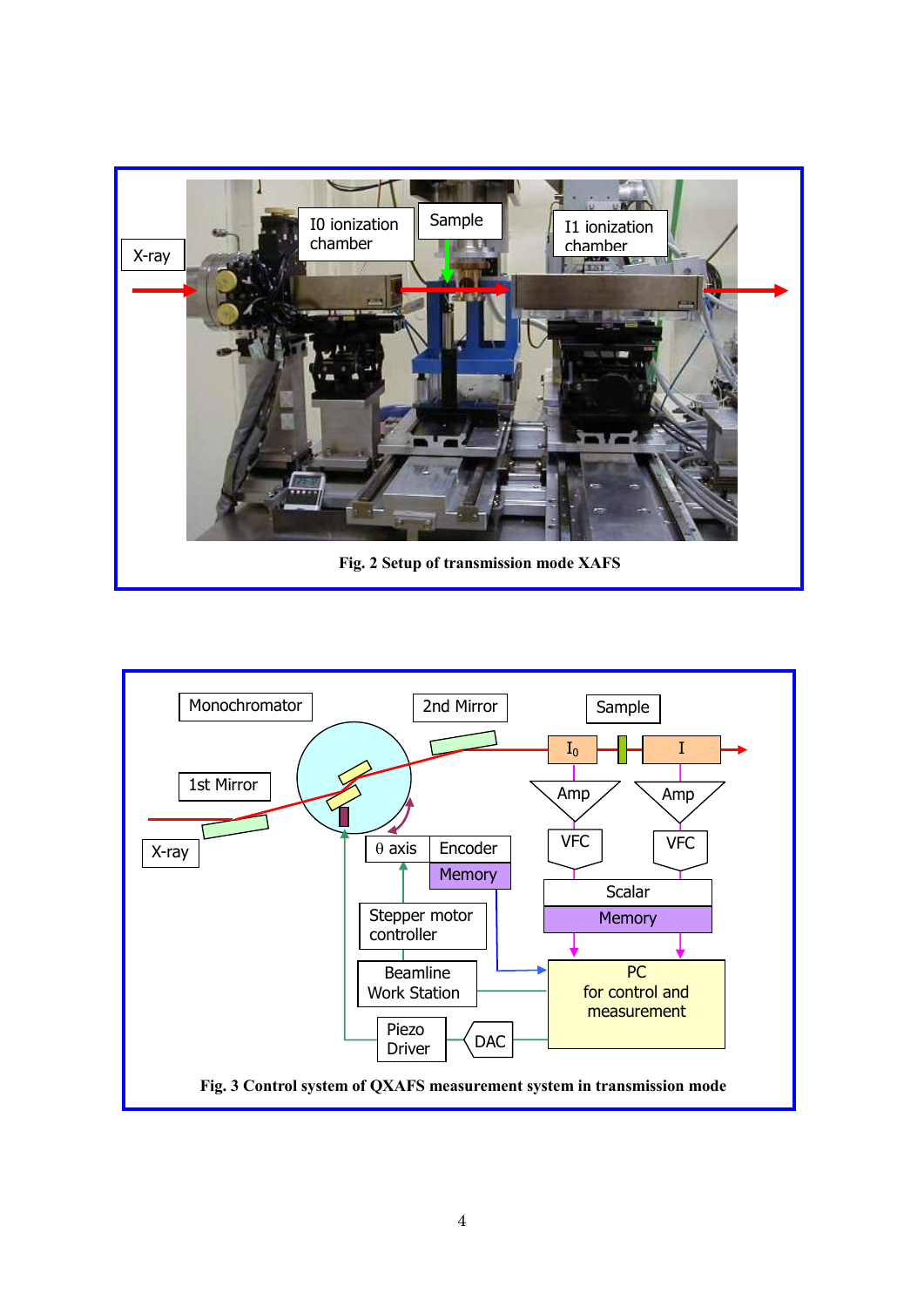

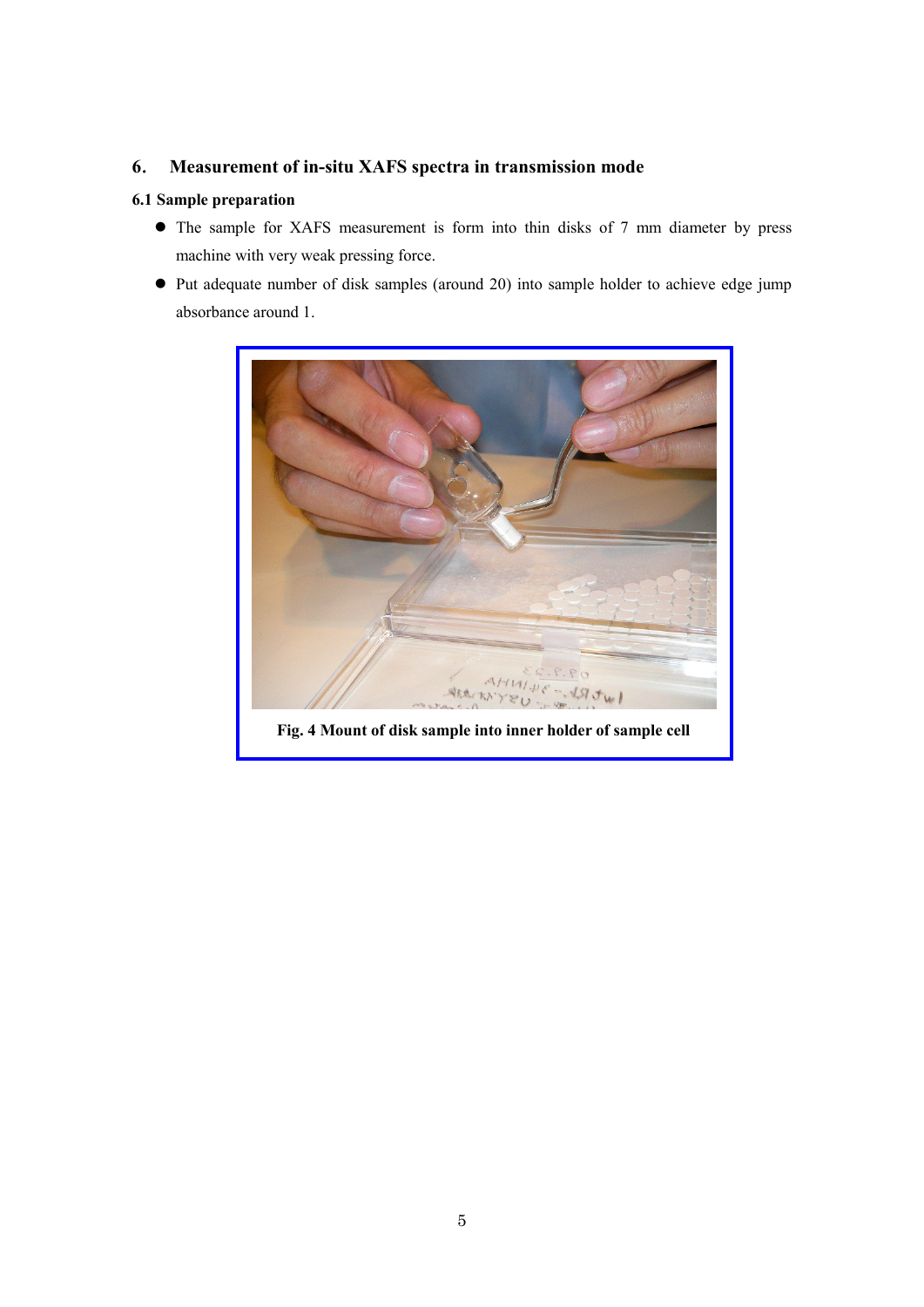## **6**. **Measurement of in-situ XAFS spectra in transmission mode**

### **6.1 Sample preparation**

- The sample for XAFS measurement is form into thin disks of 7 mm diameter by press machine with very weak pressing force.
- Put adequate number of disk samples (around 20) into sample holder to achieve edge jump absorbance around 1.

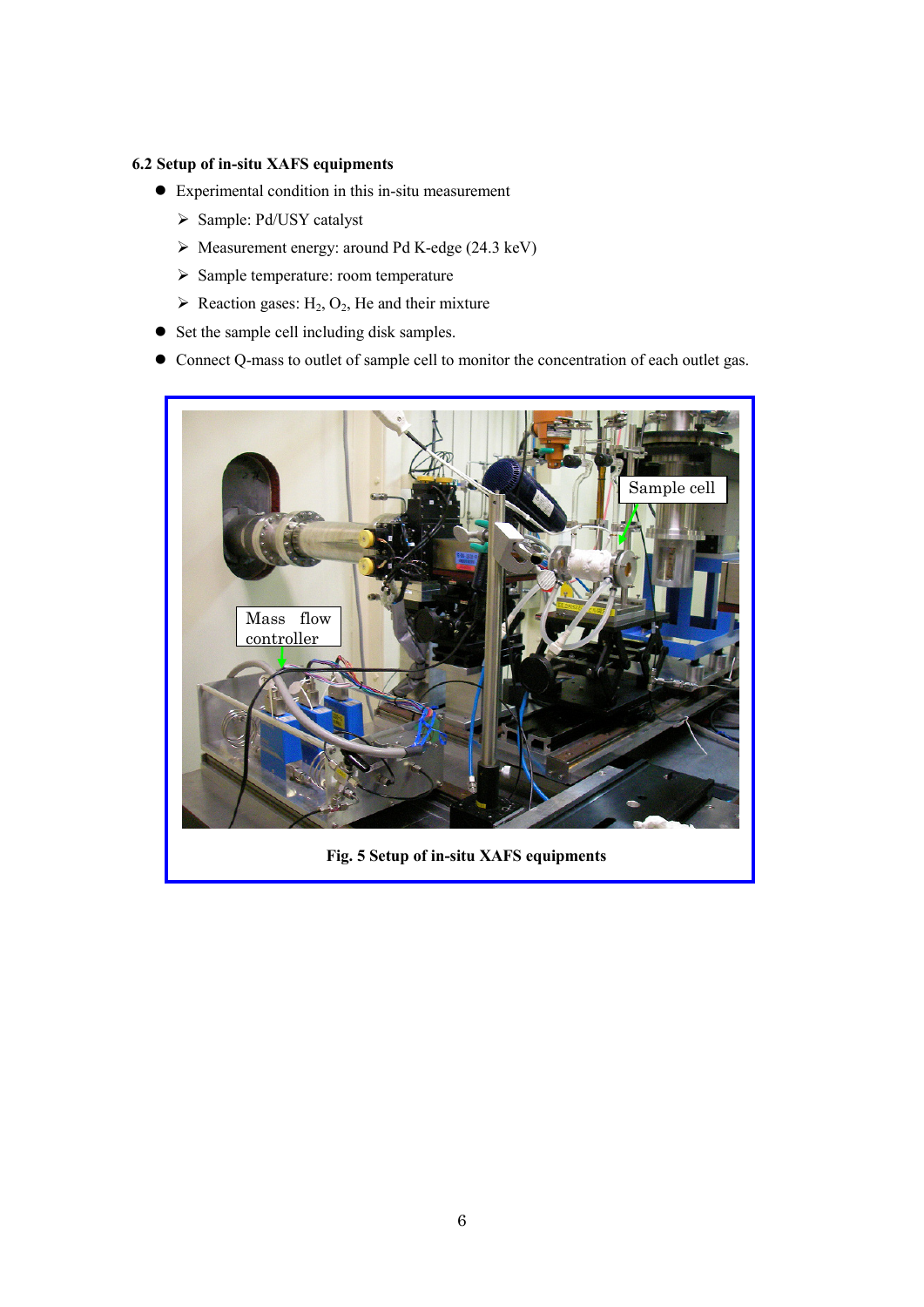### **6.2 Setup of in-situ XAFS equipments**

- Experimental condition in this in-situ measurement
	- Sample: Pd/USY catalyst
	- Measurement energy: around Pd K-edge (24.3 keV)
	- $\triangleright$  Sample temperature: room temperature
	- $\triangleright$  Reaction gases: H<sub>2</sub>, O<sub>2</sub>, He and their mixture
- Set the sample cell including disk samples.
- Connect Q-mass to outlet of sample cell to monitor the concentration of each outlet gas.



**Fig. 5 Setup of in-situ XAFS equipments**